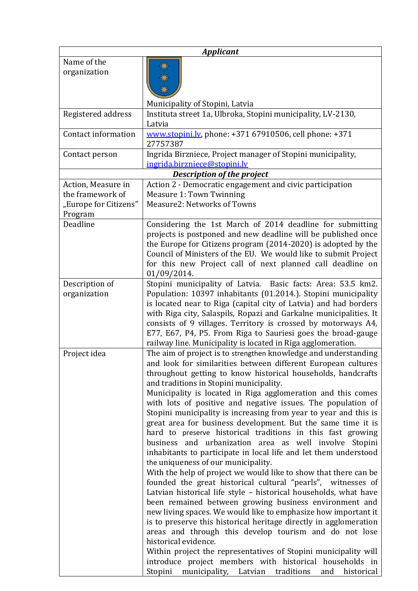| <b>Applicant</b>                                                           |                                                                                                                                                                                                                                                                                                                                                                                                                                                                                                                                                                                                                                                                                                                                                                                                                                                                                                                                                                                                                                                                                                                                                                                                                                                                                                                                                                                                                                               |  |
|----------------------------------------------------------------------------|-----------------------------------------------------------------------------------------------------------------------------------------------------------------------------------------------------------------------------------------------------------------------------------------------------------------------------------------------------------------------------------------------------------------------------------------------------------------------------------------------------------------------------------------------------------------------------------------------------------------------------------------------------------------------------------------------------------------------------------------------------------------------------------------------------------------------------------------------------------------------------------------------------------------------------------------------------------------------------------------------------------------------------------------------------------------------------------------------------------------------------------------------------------------------------------------------------------------------------------------------------------------------------------------------------------------------------------------------------------------------------------------------------------------------------------------------|--|
| Name of the<br>organization                                                |                                                                                                                                                                                                                                                                                                                                                                                                                                                                                                                                                                                                                                                                                                                                                                                                                                                                                                                                                                                                                                                                                                                                                                                                                                                                                                                                                                                                                                               |  |
|                                                                            | Municipality of Stopini, Latvia                                                                                                                                                                                                                                                                                                                                                                                                                                                                                                                                                                                                                                                                                                                                                                                                                                                                                                                                                                                                                                                                                                                                                                                                                                                                                                                                                                                                               |  |
| Registered address                                                         | Instituta street 1a, Ulbroka, Stopini municipality, LV-2130,<br>Latvia                                                                                                                                                                                                                                                                                                                                                                                                                                                                                                                                                                                                                                                                                                                                                                                                                                                                                                                                                                                                                                                                                                                                                                                                                                                                                                                                                                        |  |
| Contact information                                                        | www.stopini.lv, phone: +371 67910506, cell phone: +371<br>27757387                                                                                                                                                                                                                                                                                                                                                                                                                                                                                                                                                                                                                                                                                                                                                                                                                                                                                                                                                                                                                                                                                                                                                                                                                                                                                                                                                                            |  |
| Contact person                                                             | Ingrida Birzniece, Project manager of Stopini municipality,                                                                                                                                                                                                                                                                                                                                                                                                                                                                                                                                                                                                                                                                                                                                                                                                                                                                                                                                                                                                                                                                                                                                                                                                                                                                                                                                                                                   |  |
|                                                                            | ingrida.birzniece@stopini.lv                                                                                                                                                                                                                                                                                                                                                                                                                                                                                                                                                                                                                                                                                                                                                                                                                                                                                                                                                                                                                                                                                                                                                                                                                                                                                                                                                                                                                  |  |
| <b>Description of the project</b>                                          |                                                                                                                                                                                                                                                                                                                                                                                                                                                                                                                                                                                                                                                                                                                                                                                                                                                                                                                                                                                                                                                                                                                                                                                                                                                                                                                                                                                                                                               |  |
| Action, Measure in<br>the framework of<br>"Europe for Citizens"<br>Program | Action 2 - Democratic engagement and civic participation<br><b>Measure 1: Town Twinning</b><br>Measure2: Networks of Towns                                                                                                                                                                                                                                                                                                                                                                                                                                                                                                                                                                                                                                                                                                                                                                                                                                                                                                                                                                                                                                                                                                                                                                                                                                                                                                                    |  |
| Deadline                                                                   | Considering the 1st March of 2014 deadline for submitting<br>projects is postponed and new deadline will be published once<br>the Europe for Citizens program (2014-2020) is adopted by the<br>Council of Ministers of the EU. We would like to submit Project<br>for this new Project call of next planned call deadline on<br>01/09/2014.                                                                                                                                                                                                                                                                                                                                                                                                                                                                                                                                                                                                                                                                                                                                                                                                                                                                                                                                                                                                                                                                                                   |  |
| Description of<br>organization                                             | Stopini municipality of Latvia. Basic facts: Area: 53.5 km2.<br>Population: 10397 inhabitants (01.2014.). Stopini municipality<br>is located near to Riga (capital city of Latvia) and had borders<br>with Riga city, Salaspils, Ropazi and Garkalne municipalities. It<br>consists of 9 villages. Territory is crossed by motorways A4,<br>E77, E67, P4, P5. From Riga to Sauriesi goes the broad-gauge<br>railway line. Municipality is located in Riga agglomeration.                                                                                                                                                                                                                                                                                                                                                                                                                                                                                                                                                                                                                                                                                                                                                                                                                                                                                                                                                                      |  |
| Project idea                                                               | The aim of project is to strengthen knowledge and understanding<br>and look for similarities between different European cultures<br>throughout getting to know historical households, handcrafts<br>and traditions in Stopini municipality.<br>Municipality is located in Riga agglomeration and this comes<br>with lots of positive and negative issues. The population of<br>Stopini municipality is increasing from year to year and this is<br>great area for business development. But the same time it is<br>hard to preserve historical traditions in this fast growing<br>business and urbanization area as well involve Stopini<br>inhabitants to participate in local life and let them understood<br>the uniqueness of our municipality.<br>With the help of project we would like to show that there can be<br>founded the great historical cultural "pearls", witnesses of<br>Latvian historical life style - historical households, what have<br>been remained between growing business environment and<br>new living spaces. We would like to emphasize how important it<br>is to preserve this historical heritage directly in agglomeration<br>areas and through this develop tourism and do not lose<br>historical evidence.<br>Within project the representatives of Stopini municipality will<br>introduce project members with historical households in<br>Stopini municipality, Latvian traditions<br>and<br>historical |  |